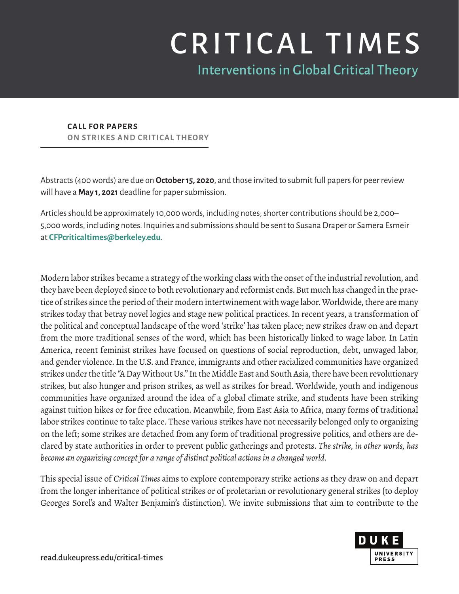## CRITICAL TIMES

Interventions in Global Critical Theory

**CALL FOR PAPERS ON STRIKES AND CRITICAL THEORY**

Abstracts (400 words) are due on **October 15, 2020**, and those invited to submit full papers for peer review will have a **May 1, 2021** deadline for paper submission.

Articles should be approximately 10,000 words, including notes; shorter contributions should be 2,000– 5,000 words, including notes. Inquiries and submissions should be sent to Susana Draper or Samera Esmeir at **[CFPcriticaltimes@berkeley.edu](mailto:CFPcriticaltimes%40berkeley.edu?subject=)**.

Modern labor strikes became a strategy of the working class with the onset of the industrial revolution, and they have been deployed since to both revolutionary and reformist ends. But much has changed in the practice of strikes since the period of their modern intertwinement with wage labor. Worldwide, there are many strikes today that betray novel logics and stage new political practices. In recent years, a transformation of the political and conceptual landscape of the word 'strike' has taken place; new strikes draw on and depart from the more traditional senses of the word, which has been historically linked to wage labor. In Latin America, recent feminist strikes have focused on questions of social reproduction, debt, unwaged labor, and gender violence. In the U.S. and France, immigrants and other racialized communities have organized strikes under the title "A Day Without Us." In the Middle East and South Asia, there have been revolutionary strikes, but also hunger and prison strikes, as well as strikes for bread. Worldwide, youth and indigenous communities have organized around the idea of a global climate strike, and students have been striking against tuition hikes or for free education. Meanwhile, from East Asia to Africa, many forms of traditional labor strikes continue to take place. These various strikes have not necessarily belonged only to organizing on the left; some strikes are detached from any form of traditional progressive politics, and others are declared by state authorities in order to prevent public gatherings and protests. *The strike, in other words, has become an organizing concept for a range of distinct political actions in a changed world.*

This special issue of *Critical Times* aims to explore contemporary strike actions as they draw on and depart from the longer inheritance of political strikes or of proletarian or revolutionary general strikes (to deploy Georges Sorel's and Walter Benjamin's distinction). We invite submissions that aim to contribute to the